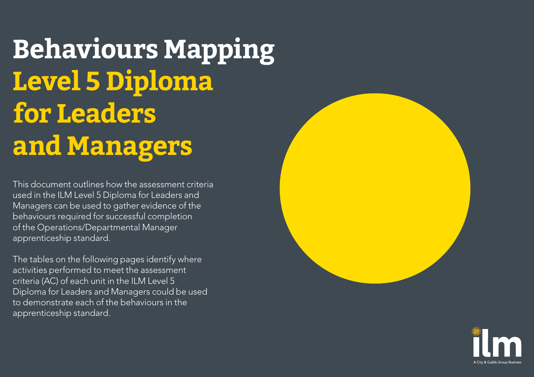This document outlines how the assessment criteria used in the ILM Level 5 Diploma for Leaders and Managers can be used to gather evidence of the behaviours required for successful completion of the Operations/Departmental Manager apprenticeship standard.

The tables on the following pages identify where activities performed to meet the assessment criteria (AC) of each unit in the ILM Level 5 Diploma for Leaders and Managers could be used to demonstrate each of the behaviours in the apprenticeship standard.

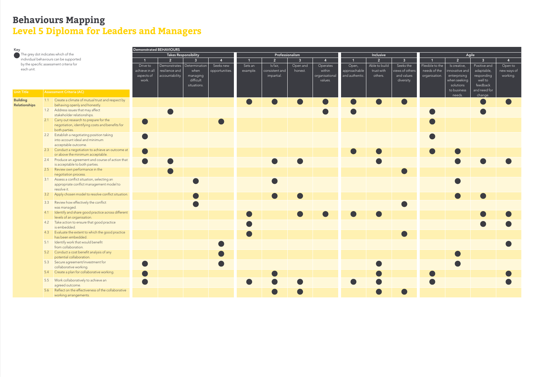| Key                                 |            | Demonstrated BEHAVIOURS |                                                       |                |                 |                         |                  |                 |                |                         |                |                |                |                 |                 |                |                |                |
|-------------------------------------|------------|-------------------------|-------------------------------------------------------|----------------|-----------------|-------------------------|------------------|-----------------|----------------|-------------------------|----------------|----------------|----------------|-----------------|-----------------|----------------|----------------|----------------|
| The grey dot indicates which of the |            |                         | <b>Takes Responsibility</b>                           |                |                 |                         |                  | Professionalism |                |                         |                | Inclusive      |                | Agile           |                 |                |                |                |
|                                     |            |                         | individual behaviours can be supported                |                | 2 <sup>1</sup>  | $\overline{\mathbf{3}}$ | $\boldsymbol{4}$ |                 | 2 <sup>1</sup> | $\overline{\mathbf{3}}$ | 4              | $\overline{1}$ | 2 <sup>1</sup> | 3 <sup>1</sup>  |                 | $\overline{2}$ | $\overline{3}$ | $\overline{4}$ |
|                                     |            |                         | by the specific assessment criteria for               | Drive to       | Demonstrates    | Determination           | Seeks new        | Sets an         | Is fair,       | Open and                | Operates       | Open,          | Able to build  | Seeks the       | Flexible to the | Is creative,   | Positive and   | Open to        |
|                                     | each unit. |                         |                                                       | achieve in all | resilience and  | when                    | opportunities.   | example.        | consistent and | honest.                 | within         | approachable   | trust with     | views of others | needs of the    | innovative and | adaptable,     | new ways of    |
|                                     |            |                         |                                                       | aspects of     | accountability. | managing                |                  |                 | impartial.     |                         | organisational | and authentic. | others.        | and values      | organisation.   | enterprising   | responding     | working.       |
|                                     |            |                         |                                                       | work.          |                 | difficult               |                  |                 |                |                         | values.        |                |                | diversity.      |                 | when seeking   | well to        |                |
|                                     |            |                         |                                                       |                |                 | situations.             |                  |                 |                |                         |                |                |                |                 |                 | solutions      | feedback       |                |
| <b>Unit Title</b>                   |            |                         | Assessment Criteria (AC)                              |                |                 |                         |                  |                 |                |                         |                |                |                |                 |                 | to business    | and need for   |                |
|                                     |            |                         |                                                       |                |                 |                         |                  |                 |                |                         |                |                |                |                 |                 | needs.         | change.        |                |
| <b>Building</b>                     |            |                         | 1.1 Create a climate of mutual trust and respect by   |                |                 |                         |                  |                 |                |                         |                |                |                |                 |                 |                |                |                |
| Relationships                       |            |                         | behaving openly and honestly.                         |                |                 |                         |                  |                 |                |                         |                |                |                |                 |                 |                |                |                |
|                                     |            |                         | 1.2 Address issues that may affect                    |                |                 |                         |                  |                 |                |                         |                |                |                |                 |                 |                |                |                |
|                                     |            |                         | stakeholder relationships.                            |                |                 |                         |                  |                 |                |                         |                |                |                |                 |                 |                |                |                |
|                                     |            |                         | 2.1 Carry out research to prepare for the             |                |                 |                         |                  |                 |                |                         |                |                |                |                 |                 |                |                |                |
|                                     |            |                         | negotiation, identifying costs and benefits for       |                |                 |                         |                  |                 |                |                         |                |                |                |                 |                 |                |                |                |
|                                     |            |                         | both parties.                                         |                |                 |                         |                  |                 |                |                         |                |                |                |                 |                 |                |                |                |
|                                     |            |                         | 2.2 Establish a negotiating position taking           |                |                 |                         |                  |                 |                |                         |                |                |                |                 |                 |                |                |                |
|                                     |            |                         | into account ideal and minimum                        |                |                 |                         |                  |                 |                |                         |                |                |                |                 |                 |                |                |                |
|                                     |            |                         | acceptable outcome.                                   |                |                 |                         |                  |                 |                |                         |                |                |                |                 |                 |                |                |                |
|                                     |            |                         | 2.3 Conduct a negotiation to achieve an outcome at    |                |                 |                         |                  |                 |                |                         |                |                |                |                 |                 |                |                |                |
|                                     |            |                         | or above the minimum acceptable.                      |                |                 |                         |                  |                 |                |                         |                |                |                |                 |                 |                |                |                |
|                                     |            |                         | 2.4 Produce an agreement and course of action that    |                |                 |                         |                  |                 |                |                         |                |                |                |                 |                 |                |                |                |
|                                     |            |                         | is acceptable to both parties.                        |                |                 |                         |                  |                 |                |                         |                |                |                |                 |                 |                |                |                |
|                                     |            |                         | 2.5 Review own performance in the                     |                |                 |                         |                  |                 |                |                         |                |                |                |                 |                 |                |                |                |
|                                     |            |                         | negotiation process.                                  |                |                 |                         |                  |                 |                |                         |                |                |                |                 |                 |                |                |                |
|                                     |            |                         | 3.1 Assess a conflict situation, selecting an         |                |                 |                         |                  |                 |                |                         |                |                |                |                 |                 |                |                |                |
|                                     |            |                         | appropriate conflict management model to              |                |                 |                         |                  |                 |                |                         |                |                |                |                 |                 |                |                |                |
|                                     |            |                         | resolve it.                                           |                |                 |                         |                  |                 |                |                         |                |                |                |                 |                 |                |                |                |
|                                     |            | 3.2                     | Apply chosen model to resolve conflict situation.     |                |                 |                         |                  |                 |                |                         |                |                |                |                 |                 |                |                |                |
|                                     |            |                         | 3.3 Review how effectively the conflict               |                |                 |                         |                  |                 |                |                         |                |                |                |                 |                 |                |                |                |
|                                     |            |                         | was managed.                                          |                |                 |                         |                  |                 |                |                         |                |                |                |                 |                 |                |                |                |
|                                     |            |                         | 4.1 Identify and share good practice across different |                |                 |                         |                  |                 |                |                         |                |                |                |                 |                 |                |                |                |
|                                     |            |                         | levels of an organisation.                            |                |                 |                         |                  |                 |                |                         |                |                |                |                 |                 |                |                |                |
|                                     |            |                         | 4.2 Take action to ensure that good practice          |                |                 |                         |                  |                 |                |                         |                |                |                |                 |                 |                |                |                |
|                                     |            |                         | is embedded.                                          |                |                 |                         |                  |                 |                |                         |                |                |                |                 |                 |                |                |                |
|                                     |            |                         | 4.3 Evaluate the extent to which the good practice    |                |                 |                         |                  |                 |                |                         |                |                |                |                 |                 |                |                |                |
|                                     |            |                         | has been embedded.                                    |                |                 |                         |                  |                 |                |                         |                |                |                |                 |                 |                |                |                |
|                                     |            |                         | 5.1 Identify work that would benefit                  |                |                 |                         |                  |                 |                |                         |                |                |                |                 |                 |                |                |                |
|                                     |            |                         | from collaboration.                                   |                |                 |                         |                  |                 |                |                         |                |                |                |                 |                 |                |                |                |
|                                     |            |                         | 5.2 Conduct a cost benefit analysis of any            |                |                 |                         |                  |                 |                |                         |                |                |                |                 |                 |                |                |                |
|                                     |            |                         | potential collaboration.                              |                |                 |                         |                  |                 |                |                         |                |                |                |                 |                 |                |                |                |
|                                     |            |                         | 5.3 Secure agreement/investment for                   |                |                 |                         |                  |                 |                |                         |                |                |                |                 |                 |                |                |                |
|                                     |            |                         | collaborative working.                                |                |                 |                         |                  |                 |                |                         |                |                |                |                 |                 |                |                |                |
|                                     |            |                         | 5.4 Create a plan for collaborative working.          |                |                 |                         |                  |                 |                |                         |                |                |                |                 |                 |                |                |                |
|                                     |            |                         | 5.5 Work collaboratively to achieve an                |                |                 |                         |                  |                 |                |                         |                |                |                |                 |                 |                |                |                |
|                                     |            |                         | agreed outcome.                                       |                |                 |                         |                  |                 |                |                         |                |                |                |                 |                 |                |                |                |
|                                     |            |                         | 5.6 Reflect on the effectiveness of the collaborative |                |                 |                         |                  |                 |                |                         |                |                |                |                 |                 |                |                |                |
|                                     |            |                         | working arrangements.                                 |                |                 |                         |                  |                 |                |                         |                |                |                |                 |                 |                |                |                |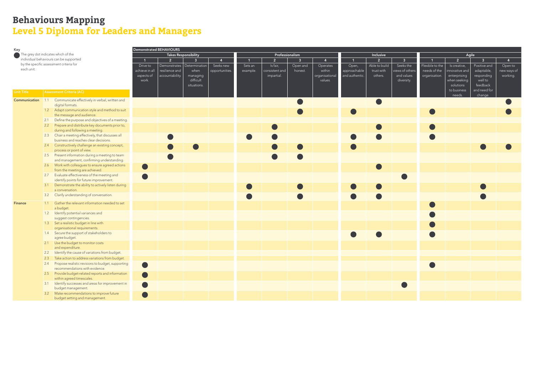| Key                                     |     | <b>Demonstrated BEHAVIOURS</b>                                                |                             |                              |                |                |          |                 |                |                |                |                |                 |               |                |              |             |  |
|-----------------------------------------|-----|-------------------------------------------------------------------------------|-----------------------------|------------------------------|----------------|----------------|----------|-----------------|----------------|----------------|----------------|----------------|-----------------|---------------|----------------|--------------|-------------|--|
| The grey dot indicates which of the     |     |                                                                               | <b>Takes Responsibility</b> |                              |                |                |          | Professionalism |                |                |                | Inclusive      |                 | Agile         |                |              |             |  |
|                                         |     | individual behaviours can be supported                                        |                             | 2 <sup>7</sup>               | 3 <sup>1</sup> |                |          | $\overline{2}$  | 3 <sup>1</sup> | $\mathbf{A}$   | $\overline{1}$ | 2 <sup>1</sup> | 3 <sup>°</sup>  |               | 2 <sup>7</sup> | $\mathbf{R}$ | 4           |  |
| by the specific assessment criteria for |     | Drive to                                                                      |                             | Demonstrates   Determination | Seeks new      | Sets an        | Is fair, | Open and        | Operates       | Open,          | Able to build  | Seeks the      | Flexible to the | Is creative,  | Positive and   | Open to      |             |  |
| each unit.                              |     |                                                                               | achieve in all              | resilience and               | when           | opportunities. | example. | consistent and  | honest.        | within         | approachable   | trust with     | views of others | needs of the  | innovative and | adaptable,   | new ways of |  |
|                                         |     |                                                                               | aspects of                  | accountability.              | managing       |                |          | impartial.      |                | organisational | and authentic. | others.        | and values      | organisation. | enterprising   | responding   | working.    |  |
|                                         |     |                                                                               | work.                       |                              | difficult      |                |          |                 |                | values.        |                |                | diversity.      |               | when seeking   | well to      |             |  |
|                                         |     |                                                                               |                             |                              | situations.    |                |          |                 |                |                |                |                |                 |               | solutions      | feedback     |             |  |
| <b>Unit Title</b>                       |     | <b>Assessment Criteria (AC)</b>                                               |                             |                              |                |                |          |                 |                |                |                |                |                 |               | to business    | and need for |             |  |
|                                         |     |                                                                               |                             |                              |                |                |          |                 |                |                |                |                |                 |               | needs.         | change.      |             |  |
| Communication                           |     | 1.1 Communicate effectively in verbal, written and                            |                             |                              |                |                |          |                 |                |                |                |                |                 |               |                |              |             |  |
|                                         |     | digital formats.                                                              |                             |                              |                |                |          |                 |                |                |                |                |                 |               |                |              |             |  |
|                                         |     | 1.2 Adapt communication style and method to suit<br>the message and audience. |                             |                              |                |                |          |                 |                |                |                |                |                 |               |                |              |             |  |
|                                         |     | 2.1 Define the purpose and objectives of a meeting.                           |                             |                              |                |                |          |                 |                |                |                |                |                 |               |                |              |             |  |
|                                         |     | 2.2 Prepare and distribute key documents prior to,                            |                             |                              |                |                |          |                 |                |                |                |                |                 |               |                |              |             |  |
|                                         |     | during and following a meeting.                                               |                             |                              |                |                |          |                 |                |                |                |                |                 |               |                |              |             |  |
|                                         |     | 2.3 Chair a meeting effectively, that discusses all                           |                             |                              |                |                |          |                 |                |                |                |                |                 |               |                |              |             |  |
|                                         |     | business and reaches clear decisions.                                         |                             |                              |                |                |          |                 |                |                |                |                |                 |               |                |              |             |  |
|                                         |     | 2.4 Constructively challenge an existing concept,                             |                             |                              |                |                |          |                 |                |                |                |                |                 |               |                |              |             |  |
|                                         |     | process or point of view.                                                     |                             |                              |                |                |          |                 |                |                |                |                |                 |               |                |              |             |  |
|                                         |     | 2.5 Present information during a meeting to team                              |                             |                              |                |                |          |                 |                |                |                |                |                 |               |                |              |             |  |
|                                         |     | and management, confirming understanding.                                     |                             |                              |                |                |          |                 |                |                |                |                |                 |               |                |              |             |  |
|                                         |     | 2.6 Work with colleagues to ensure agreed actions                             |                             |                              |                |                |          |                 |                |                |                |                |                 |               |                |              |             |  |
|                                         |     | from the meeting are achieved.                                                |                             |                              |                |                |          |                 |                |                |                |                |                 |               |                |              |             |  |
|                                         |     | 2.7 Evaluate effectiveness of the meeting and                                 |                             |                              |                |                |          |                 |                |                |                |                |                 |               |                |              |             |  |
|                                         |     | identify points for future improvement.                                       |                             |                              |                |                |          |                 |                |                |                |                |                 |               |                |              |             |  |
|                                         |     | 3.1 Demonstrate the ability to actively listen during                         |                             |                              |                |                |          |                 |                |                |                |                |                 |               |                |              |             |  |
|                                         |     | a conversation.                                                               |                             |                              |                |                |          |                 |                |                |                |                |                 |               |                |              |             |  |
|                                         | 3.2 | Clarify understanding of conversation.                                        |                             |                              |                |                |          |                 |                |                |                |                |                 |               |                |              |             |  |
| <b>Finance</b>                          | 1.1 | Gather the relevant information needed to set                                 |                             |                              |                |                |          |                 |                |                |                |                |                 |               |                |              |             |  |
|                                         |     | a budget.                                                                     |                             |                              |                |                |          |                 |                |                |                |                |                 |               |                |              |             |  |
|                                         |     | 1.2 Identify potential variances and                                          |                             |                              |                |                |          |                 |                |                |                |                |                 |               |                |              |             |  |
|                                         |     | suggest contingencies.                                                        |                             |                              |                |                |          |                 |                |                |                |                |                 |               |                |              |             |  |
|                                         |     | 1.3 Set a realistic budget in line with                                       |                             |                              |                |                |          |                 |                |                |                |                |                 |               |                |              |             |  |
|                                         |     | organisational requirements.                                                  |                             |                              |                |                |          |                 |                |                |                |                |                 |               |                |              |             |  |
|                                         |     | 1.4 Secure the support of stakeholders to                                     |                             |                              |                |                |          |                 |                |                |                |                |                 |               |                |              |             |  |
|                                         |     | agree budget.                                                                 |                             |                              |                |                |          |                 |                |                |                |                |                 |               |                |              |             |  |
|                                         |     | 2.1 Use the budget to monitor costs                                           |                             |                              |                |                |          |                 |                |                |                |                |                 |               |                |              |             |  |
|                                         |     | and expenditure.                                                              |                             |                              |                |                |          |                 |                |                |                |                |                 |               |                |              |             |  |
|                                         |     | 2.2 Identify the cause of variations from budget.                             |                             |                              |                |                |          |                 |                |                |                |                |                 |               |                |              |             |  |
|                                         | 2.3 | Take action to address variations from budget.                                |                             |                              |                |                |          |                 |                |                |                |                |                 |               |                |              |             |  |
|                                         |     | 2.4 Propose realistic revisions to budget, supporting                         |                             |                              |                |                |          |                 |                |                |                |                |                 |               |                |              |             |  |
|                                         |     | recommendations with evidence.                                                |                             |                              |                |                |          |                 |                |                |                |                |                 |               |                |              |             |  |
|                                         |     | 2.5 Provide budget-related reports and information                            |                             |                              |                |                |          |                 |                |                |                |                |                 |               |                |              |             |  |
|                                         |     | within agreed timescales.                                                     |                             |                              |                |                |          |                 |                |                |                |                |                 |               |                |              |             |  |
|                                         |     | 3.1 Identify successes and areas for improvement in                           |                             |                              |                |                |          |                 |                |                |                |                |                 |               |                |              |             |  |
|                                         |     | budget management.<br>3.2 Make recommendations to improve future              |                             |                              |                |                |          |                 |                |                |                |                |                 |               |                |              |             |  |
|                                         |     | budget setting and management.                                                |                             |                              |                |                |          |                 |                |                |                |                |                 |               |                |              |             |  |
|                                         |     |                                                                               |                             |                              |                |                |          |                 |                |                |                |                |                 |               |                |              |             |  |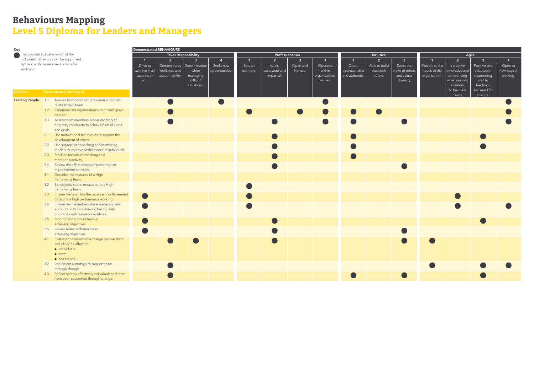| Key                                                                               |  | Demonstrated BEHAVIOURS                              |                |                 |                      |                |                |                 |                |                |                |                |                 |                |                |                |             |
|-----------------------------------------------------------------------------------|--|------------------------------------------------------|----------------|-----------------|----------------------|----------------|----------------|-----------------|----------------|----------------|----------------|----------------|-----------------|----------------|----------------|----------------|-------------|
| The grey dot indicates which of the                                               |  |                                                      |                |                 | Takes Responsibility |                |                | Professionalism |                |                |                | Inclusive      |                 | Agile          |                |                |             |
| individual behaviours can be supported<br>by the specific assessment criteria for |  | $\vert$ 1                                            | 2 <sup>1</sup> | $\overline{3}$  | $\overline{4}$       |                | 2 <sup>2</sup> | 3 <sup>1</sup>  | $\overline{4}$ | $\overline{1}$ | 2 <sup>7</sup> | 3 <sup>°</sup> |                 | $\overline{2}$ | $\overline{3}$ | $\overline{4}$ |             |
|                                                                                   |  | Drive to                                             | Demonstrates   | Determination   | Seeks new            | Sets an        | Is fair,       | Open and        | Operates       | Open,          | Able to build  | Seeks the      | Flexible to the | Is creative,   | Positive and   | Open to        |             |
| each unit.                                                                        |  |                                                      | achieve in all | resilience and  | when                 | opportunities. | example.       | consistent and  | honest.        | within         | approachable   | trust with     | views of others | needs of the   | innovative and | adaptable,     | new ways of |
|                                                                                   |  |                                                      | aspects of     | accountability. | managing             |                |                | impartial.      |                | organisational | and authentic. | others.        | and values      | organisation.  | enterprising   | responding     | working.    |
|                                                                                   |  |                                                      | work.          |                 | difficult            |                |                |                 |                | values.        |                |                | diversity.      |                | when seeking   | well to        |             |
|                                                                                   |  |                                                      |                |                 | situations.          |                |                |                 |                |                |                |                |                 |                | solutions      | feedback       |             |
| <b>Unit Title</b>                                                                 |  | <b>Assessment Criteria (AC)</b>                      |                |                 |                      |                |                |                 |                |                |                |                |                 |                | to business    | and need for   |             |
|                                                                                   |  |                                                      |                |                 |                      |                |                |                 |                |                |                |                |                 |                | needs.         | change.        |             |
| <b>Leading People</b>                                                             |  | 1.1 Analyse how organisation's vision and goals      |                |                 |                      |                |                |                 |                |                |                |                |                 |                |                |                |             |
|                                                                                   |  | relate to own team.                                  |                |                 |                      |                |                |                 |                |                |                |                |                 |                |                |                |             |
|                                                                                   |  | 1.2 Communicate organisation's vision and goals      |                |                 |                      |                |                |                 |                |                |                |                |                 |                |                |                |             |
|                                                                                   |  | to team.                                             |                |                 |                      |                |                |                 |                |                |                |                |                 |                |                |                |             |
|                                                                                   |  | 1.3 Assess team members' understanding of            |                |                 |                      |                |                |                 |                |                |                |                |                 |                |                |                |             |
|                                                                                   |  | how they contribute to achievement of vision         |                |                 |                      |                |                |                 |                |                |                |                |                 |                |                |                |             |
|                                                                                   |  | and goals.                                           |                |                 |                      |                |                |                 |                |                |                |                |                 |                |                |                |             |
|                                                                                   |  | 2.1 Use motivational techniques to support the       |                |                 |                      |                |                |                 |                |                |                |                |                 |                |                |                |             |
|                                                                                   |  | development of others.                               |                |                 |                      |                |                |                 |                |                |                |                |                 |                |                |                |             |
|                                                                                   |  | 2.2 Use appropriate coaching and mentoring           |                |                 |                      |                |                |                 |                |                |                |                |                 |                |                |                |             |
|                                                                                   |  | models to improve performance of individuals.        |                |                 |                      |                |                |                 |                |                |                |                |                 |                |                |                |             |
|                                                                                   |  | 2.3 Produce records of coaching and                  |                |                 |                      |                |                |                 |                |                |                |                |                 |                |                |                |             |
|                                                                                   |  | mentoring activity.                                  |                |                 |                      |                |                |                 |                |                |                |                |                 |                |                |                |             |
|                                                                                   |  | 2.4 Review the effectiveness of performance          |                |                 |                      |                |                |                 |                |                |                |                |                 |                |                |                |             |
|                                                                                   |  | improvement activities.                              |                |                 |                      |                |                |                 |                |                |                |                |                 |                |                |                |             |
|                                                                                   |  | 3.1 Describe the features of a High                  |                |                 |                      |                |                |                 |                |                |                |                |                 |                |                |                |             |
|                                                                                   |  | Performing Team.                                     |                |                 |                      |                |                |                 |                |                |                |                |                 |                |                |                |             |
|                                                                                   |  | 3.2 Set objectives and measures for a High           |                |                 |                      |                |                |                 |                |                |                |                |                 |                |                |                |             |
|                                                                                   |  | Performing Team.                                     |                |                 |                      |                |                |                 |                |                |                |                |                 |                |                |                |             |
|                                                                                   |  | 3.3 Ensure the team has the balance of skills needed |                |                 |                      |                |                |                 |                |                |                |                |                 |                |                |                |             |
|                                                                                   |  | to facilitate high performance working.              |                |                 |                      |                |                |                 |                |                |                |                |                 |                |                |                |             |
|                                                                                   |  | 3.4 Ensure team members share leadership and         |                |                 |                      |                |                |                 |                |                |                |                |                 |                |                |                |             |
|                                                                                   |  | accountability for achieving best quality            |                |                 |                      |                |                |                 |                |                |                |                |                 |                |                |                |             |
|                                                                                   |  | outcomes with resources available.                   |                |                 |                      |                |                |                 |                |                |                |                |                 |                |                |                |             |
|                                                                                   |  | 3.5 Monitor and support team in                      |                |                 |                      |                |                |                 |                |                |                |                |                 |                |                |                |             |
|                                                                                   |  | achieving objectives.                                |                |                 |                      |                |                |                 |                |                |                |                |                 |                |                |                |             |
|                                                                                   |  | 3.6 Review team performance in                       |                |                 |                      |                |                |                 |                |                |                |                |                 |                |                |                |             |
|                                                                                   |  | achieving objectives.                                |                |                 |                      |                |                |                 |                |                |                |                |                 |                |                |                |             |
|                                                                                   |  | 4.1 Evaluate the impact of a change on own team      |                |                 |                      |                |                |                 |                |                |                |                |                 |                |                |                |             |
|                                                                                   |  | including the effect on:                             |                |                 |                      |                |                |                 |                |                |                |                |                 |                |                |                |             |
|                                                                                   |  | $\bullet$ individuals                                |                |                 |                      |                |                |                 |                |                |                |                |                 |                |                |                |             |
|                                                                                   |  | $\bullet$ team                                       |                |                 |                      |                |                |                 |                |                |                |                |                 |                |                |                |             |
|                                                                                   |  | • operations                                         |                |                 |                      |                |                |                 |                |                |                |                |                 |                |                |                |             |
|                                                                                   |  | 4.2 Implement a strategy to support team             |                |                 |                      |                |                |                 |                |                |                |                |                 |                |                |                |             |
|                                                                                   |  | through change.                                      |                |                 |                      |                |                |                 |                |                |                |                |                 |                |                |                |             |
|                                                                                   |  | 4.3 Reflect on how effectively individuals and team  |                |                 |                      |                |                |                 |                |                |                |                |                 |                |                |                |             |
|                                                                                   |  | have been supported through change.                  |                |                 |                      |                |                |                 |                |                |                |                |                 |                |                |                |             |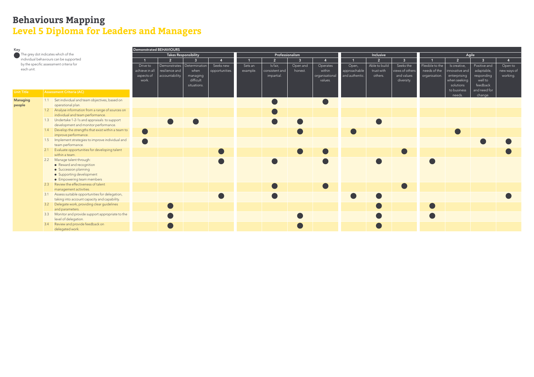| Key               |                                         |                                                                             | Demonstrated BEHAVIOURS |                 |                              |                |          |                 |                |                |                |                |                 |                 |                       |                         |             |
|-------------------|-----------------------------------------|-----------------------------------------------------------------------------|-------------------------|-----------------|------------------------------|----------------|----------|-----------------|----------------|----------------|----------------|----------------|-----------------|-----------------|-----------------------|-------------------------|-------------|
|                   | The grey dot indicates which of the     |                                                                             |                         |                 | <b>Takes Responsibility</b>  |                |          | Professionalism |                |                |                | Inclusive      |                 | Agile           |                       |                         |             |
|                   |                                         | individual behaviours can be supported                                      |                         | $\overline{2}$  | $\overline{3}$               |                |          | 2 <sup>1</sup>  | $\overline{3}$ | $\mathbf{A}$   | $\overline{1}$ | 2 <sup>1</sup> | $\overline{3}$  |                 | $\overline{2}$        | $\overline{3}$          |             |
|                   | by the specific assessment criteria for |                                                                             |                         |                 | Demonstrates   Determination | Seeks new      | Sets an  | Is fair,        | Open and       | Operates       | Open,          | Able to build  | Seeks the       | Flexible to the | Is creative,          | Positive and            | Open to     |
| each unit.        |                                         |                                                                             |                         | resilience and  | when                         | opportunities. | example. | consistent and  | honest.        | within         | approachable   | trust with     | views of others | needs of the    | innovative and        | adaptable,              | new ways of |
|                   |                                         |                                                                             |                         | accountability. | managing                     |                |          | impartial.      |                | organisational | and authentic. | others.        | and values      | organisation.   | enterprising          | responding              | working.    |
|                   |                                         |                                                                             |                         |                 | difficult                    |                |          |                 |                | values.        |                |                | diversity.      |                 | when seeking          | well to                 |             |
|                   |                                         |                                                                             |                         |                 | situations.                  |                |          |                 |                |                |                |                |                 |                 | solutions             | feedback                |             |
| <b>Unit Title</b> | <b>Assessment Criteria (AC)</b>         |                                                                             |                         |                 |                              |                |          |                 |                |                |                |                |                 |                 | to business<br>needs. | and need for<br>change. |             |
| <b>Managing</b>   |                                         | 1.1 Set individual and team objectives, based on                            |                         |                 |                              |                |          |                 |                |                |                |                |                 |                 |                       |                         |             |
| people            |                                         | operational plan.                                                           |                         |                 |                              |                |          |                 |                |                |                |                |                 |                 |                       |                         |             |
|                   |                                         | 1.2 Analyse information from a range of sources on                          |                         |                 |                              |                |          |                 |                |                |                |                |                 |                 |                       |                         |             |
|                   |                                         | individual and team performance.                                            |                         |                 |                              |                |          |                 |                |                |                |                |                 |                 |                       |                         |             |
|                   |                                         | 1.3 Undertake 1-2-1s and appraisals to support                              |                         |                 |                              |                |          |                 |                |                |                |                |                 |                 |                       |                         |             |
|                   |                                         | development and monitor performance.                                        |                         |                 |                              |                |          |                 |                |                |                |                |                 |                 |                       |                         |             |
|                   |                                         | 1.4 Develop the strengths that exist within a team to                       |                         |                 |                              |                |          |                 |                |                |                |                |                 |                 |                       |                         |             |
|                   |                                         | improve performance.<br>1.5 Implement strategies to improve individual and  |                         |                 |                              |                |          |                 |                |                |                |                |                 |                 |                       |                         |             |
|                   |                                         | team performance.                                                           |                         |                 |                              |                |          |                 |                |                |                |                |                 |                 |                       |                         |             |
|                   |                                         | 2.1 Evaluate opportunities for developing talent                            |                         |                 |                              |                |          |                 |                |                |                |                |                 |                 |                       |                         |             |
|                   |                                         | within a team.                                                              |                         |                 |                              |                |          |                 |                |                |                |                |                 |                 |                       |                         |             |
|                   |                                         | 2.2 Manage talent through:                                                  |                         |                 |                              |                |          |                 |                |                |                |                |                 |                 |                       |                         |             |
|                   |                                         | • Reward and recognition                                                    |                         |                 |                              |                |          |                 |                |                |                |                |                 |                 |                       |                         |             |
|                   |                                         | • Succession planning                                                       |                         |                 |                              |                |          |                 |                |                |                |                |                 |                 |                       |                         |             |
|                   |                                         | • Supporting development                                                    |                         |                 |                              |                |          |                 |                |                |                |                |                 |                 |                       |                         |             |
|                   |                                         | • Empowering team members                                                   |                         |                 |                              |                |          |                 |                |                |                |                |                 |                 |                       |                         |             |
|                   |                                         | 2.3 Review the effectiveness of talent                                      |                         |                 |                              |                |          |                 |                |                |                |                |                 |                 |                       |                         |             |
|                   |                                         | management activities.<br>3.1 Assess suitable opportunities for delegation, |                         |                 |                              |                |          |                 |                |                |                |                |                 |                 |                       |                         |             |
|                   |                                         | taking into account capacity and capability.                                |                         |                 |                              |                |          |                 |                |                |                |                |                 |                 |                       |                         |             |
|                   |                                         | 3.2 Delegate work, providing clear guidelines                               |                         |                 |                              |                |          |                 |                |                |                |                |                 |                 |                       |                         |             |
|                   |                                         | and parameters.                                                             |                         |                 |                              |                |          |                 |                |                |                |                |                 |                 |                       |                         |             |
|                   |                                         | 3.3 Monitor and provide support appropriate to the                          |                         |                 |                              |                |          |                 |                |                |                |                |                 |                 |                       |                         |             |
|                   |                                         | level of delegation.                                                        |                         |                 |                              |                |          |                 |                |                |                |                |                 |                 |                       |                         |             |
|                   |                                         | 3.4 Review and provide feedback on                                          |                         |                 |                              |                |          |                 |                |                |                |                |                 |                 |                       |                         |             |
|                   |                                         | delegated work.                                                             |                         |                 |                              |                |          |                 |                |                |                |                |                 |                 |                       |                         |             |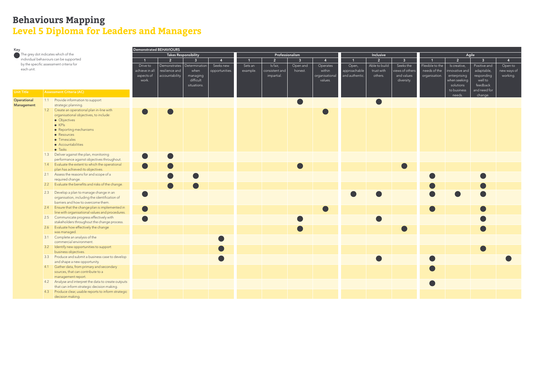| Key               |                                         | Demonstrated BEHAVIOURS                                                                |                             |                 |                              |                |                 |                |                |                |                |                |                         |                 |                |              |             |
|-------------------|-----------------------------------------|----------------------------------------------------------------------------------------|-----------------------------|-----------------|------------------------------|----------------|-----------------|----------------|----------------|----------------|----------------|----------------|-------------------------|-----------------|----------------|--------------|-------------|
|                   | The grey dot indicates which of the     |                                                                                        | <b>Takes Responsibility</b> |                 |                              |                | Professionalism |                |                |                | Inclusive      |                | Agile                   |                 |                |              |             |
|                   |                                         | individual behaviours can be supported                                                 | $\overline{1}$              | 2 <sup>7</sup>  | 3 <sup>1</sup>               |                | $\mathbf{1}$    | $\overline{2}$ | 3 <sup>1</sup> | $\mathbf{A}$   | $\mathbf{1}$   | $\overline{2}$ | $\overline{\mathbf{3}}$ |                 | 2 <sup>7</sup> | $\mathbf{3}$ | 4           |
|                   | by the specific assessment criteria for |                                                                                        | Drive to                    |                 | Demonstrates   Determination | Seeks new      | Sets an         | Is fair,       | Open and       | Operates       | Open,          | Able to build  | Seeks the               | Flexible to the | Is creative,   | Positive and | Open to     |
| each unit.        |                                         |                                                                                        | achieve in all              | resilience and  | when                         | opportunities. | example.        | consistent and | honest.        | within         | approachable   | trust with     | views of others         | needs of the    | innovative and | adaptable,   | new ways of |
|                   |                                         |                                                                                        | aspects of                  | accountability. | managing                     |                |                 | impartial.     |                | organisational | and authentic. | others.        | and values              | organisation.   | enterprising   | responding   | working.    |
|                   |                                         |                                                                                        | work.                       |                 | difficult                    |                |                 |                |                | values.        |                |                | diversity.              |                 | when seeking   | well to      |             |
|                   |                                         |                                                                                        |                             |                 | situations.                  |                |                 |                |                |                |                |                |                         |                 | solutions      | feedback     |             |
| <b>Unit Title</b> |                                         | <b>Assessment Criteria (AC)</b>                                                        |                             |                 |                              |                |                 |                |                |                |                |                |                         |                 | to business    | and need for |             |
|                   |                                         |                                                                                        |                             |                 |                              |                |                 |                |                |                |                |                |                         |                 | needs.         | change.      |             |
| Operational       |                                         | 1.1 Provide information to support                                                     |                             |                 |                              |                |                 |                |                |                |                |                |                         |                 |                |              |             |
| Management        |                                         | strategic planning.                                                                    |                             |                 |                              |                |                 |                |                |                |                |                |                         |                 |                |              |             |
|                   |                                         | 1.2 Create an operational plan in-line with                                            |                             |                 |                              |                |                 |                |                |                |                |                |                         |                 |                |              |             |
|                   |                                         | organisational objectives, to include:                                                 |                             |                 |                              |                |                 |                |                |                |                |                |                         |                 |                |              |             |
|                   |                                         | • Objectives<br>$\bullet$ KPIs                                                         |                             |                 |                              |                |                 |                |                |                |                |                |                         |                 |                |              |             |
|                   |                                         | • Reporting mechanisms                                                                 |                             |                 |                              |                |                 |                |                |                |                |                |                         |                 |                |              |             |
|                   |                                         | • Resources                                                                            |                             |                 |                              |                |                 |                |                |                |                |                |                         |                 |                |              |             |
|                   |                                         | • Timescales                                                                           |                             |                 |                              |                |                 |                |                |                |                |                |                         |                 |                |              |             |
|                   |                                         | • Accountabilities                                                                     |                             |                 |                              |                |                 |                |                |                |                |                |                         |                 |                |              |             |
|                   |                                         | • Tasks                                                                                |                             |                 |                              |                |                 |                |                |                |                |                |                         |                 |                |              |             |
|                   |                                         | 1.3 Deliver against the plan, monitoring                                               |                             |                 |                              |                |                 |                |                |                |                |                |                         |                 |                |              |             |
|                   |                                         | performance against objectives throughout.                                             |                             |                 |                              |                |                 |                |                |                |                |                |                         |                 |                |              |             |
|                   |                                         | 1.4 Evaluate the extent to which the operational                                       |                             |                 |                              |                |                 |                |                |                |                |                |                         |                 |                |              |             |
|                   |                                         | plan has achieved its objectives.                                                      |                             |                 |                              |                |                 |                |                |                |                |                |                         |                 |                |              |             |
|                   |                                         | 2.1 Assess the reasons for and scope of a                                              |                             |                 |                              |                |                 |                |                |                |                |                |                         |                 |                |              |             |
|                   |                                         | required change.                                                                       |                             |                 |                              |                |                 |                |                |                |                |                |                         |                 |                |              |             |
|                   |                                         | 2.2 Evaluate the benefits and risks of the change.                                     |                             |                 |                              |                |                 |                |                |                |                |                |                         |                 |                |              |             |
|                   |                                         |                                                                                        |                             |                 |                              |                |                 |                |                |                |                |                |                         |                 |                |              |             |
|                   | 2.3                                     | Develop a plan to manage change in an<br>organisation, including the identification of |                             |                 |                              |                |                 |                |                |                |                |                |                         |                 |                |              |             |
|                   |                                         | barriers and how to overcome them.                                                     |                             |                 |                              |                |                 |                |                |                |                |                |                         |                 |                |              |             |
|                   |                                         | 2.4 Ensure that the change plan is implemented in                                      |                             |                 |                              |                |                 |                |                |                |                |                |                         |                 |                |              |             |
|                   |                                         | line with organisational values and procedures.                                        |                             |                 |                              |                |                 |                |                |                |                |                |                         |                 |                |              |             |
|                   |                                         | 2.5 Communicate progress effectively with                                              |                             |                 |                              |                |                 |                |                |                |                |                |                         |                 |                |              |             |
|                   |                                         | stakeholders throughout the change process.                                            |                             |                 |                              |                |                 |                |                |                |                |                |                         |                 |                |              |             |
|                   |                                         | 2.6 Evaluate how effectively the change                                                |                             |                 |                              |                |                 |                |                |                |                |                |                         |                 |                |              |             |
|                   |                                         | was managed.                                                                           |                             |                 |                              |                |                 |                |                |                |                |                |                         |                 |                |              |             |
|                   |                                         | 3.1 Complete an analysis of the                                                        |                             |                 |                              |                |                 |                |                |                |                |                |                         |                 |                |              |             |
|                   |                                         | commercial environment.                                                                |                             |                 |                              |                |                 |                |                |                |                |                |                         |                 |                |              |             |
|                   |                                         | 3.2 Identify new opportunities to support                                              |                             |                 |                              |                |                 |                |                |                |                |                |                         |                 |                |              |             |
|                   |                                         | business objectives.                                                                   |                             |                 |                              |                |                 |                |                |                |                |                |                         |                 |                |              |             |
|                   |                                         | 3.3 Produce and submit a business case to develop                                      |                             |                 |                              |                |                 |                |                |                |                |                |                         |                 |                |              |             |
|                   |                                         | and shape a new opportunity.                                                           |                             |                 |                              |                |                 |                |                |                |                |                |                         |                 |                |              |             |
|                   |                                         | 4.1 Gather data, from primary and secondary                                            |                             |                 |                              |                |                 |                |                |                |                |                |                         |                 |                |              |             |
|                   |                                         | sources, that can contribute to a                                                      |                             |                 |                              |                |                 |                |                |                |                |                |                         |                 |                |              |             |
|                   |                                         | management report.                                                                     |                             |                 |                              |                |                 |                |                |                |                |                |                         |                 |                |              |             |
|                   |                                         | 4.2 Analyse and interpret the data to create outputs                                   |                             |                 |                              |                |                 |                |                |                |                |                |                         |                 |                |              |             |
|                   |                                         | that can inform strategic decision making.                                             |                             |                 |                              |                |                 |                |                |                |                |                |                         |                 |                |              |             |
|                   |                                         | 4.3 Produce clear, usable reports to inform strategic                                  |                             |                 |                              |                |                 |                |                |                |                |                |                         |                 |                |              |             |
|                   |                                         | decision making.                                                                       |                             |                 |                              |                |                 |                |                |                |                |                |                         |                 |                |              |             |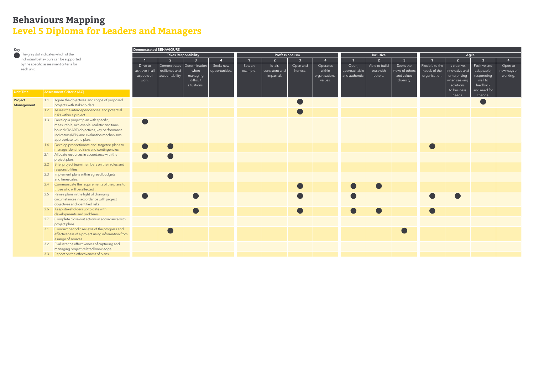| Key                                 |                                         | Demonstrated BEHAVIOURS                                                |                             |                              |                |                |              |                 |                |                |                |                |                         |                 |                       |                         |                |
|-------------------------------------|-----------------------------------------|------------------------------------------------------------------------|-----------------------------|------------------------------|----------------|----------------|--------------|-----------------|----------------|----------------|----------------|----------------|-------------------------|-----------------|-----------------------|-------------------------|----------------|
| The grey dot indicates which of the |                                         |                                                                        | <b>Takes Responsibility</b> |                              |                |                |              | Professionalism |                |                |                | Inclusive      |                         | Agile           |                       |                         |                |
|                                     |                                         | individual behaviours can be supported                                 | $\overline{1}$              | $\overline{2}$               | 3 <sup>1</sup> | $\mathbf{A}$   | $\mathbf{1}$ | $\overline{2}$  | 3 <sup>1</sup> | $\overline{4}$ | $\mathbf{1}$   | $\overline{2}$ | $\overline{\mathbf{3}}$ |                 | $\overline{2}$        | $\mathbf{3}$            | $\overline{4}$ |
|                                     | by the specific assessment criteria for |                                                                        |                             | Demonstrates   Determination |                | Seeks new      | Sets an      | Is fair,        | Open and       | Operates       | Open,          | Able to build  | Seeks the               | Flexible to the | Is creative,          | Positive and            | Open to        |
| each unit.                          |                                         |                                                                        | achieve in al<br>aspects of | resilience and               | when           | opportunities. | example.     | consistent and  | honest.        | within         | approachable   | trust with     | views of others         | needs of the    | innovative and        | adaptable,              | new ways of    |
|                                     |                                         |                                                                        |                             | accountability.              | managing       |                |              | impartial.      |                | organisational | and authentic. | others.        | and values              | organisation.   | enterprising          | responding              | working.       |
|                                     |                                         |                                                                        | work.                       |                              | difficult      |                |              |                 |                | values.        |                |                | diversity.              |                 | when seeking          | well to                 |                |
|                                     |                                         |                                                                        |                             |                              | situations.    |                |              |                 |                |                |                |                |                         |                 | solutions             | feedback                |                |
| <b>Unit Title</b>                   |                                         | Assessment Criteria (AC)                                               |                             |                              |                |                |              |                 |                |                |                |                |                         |                 | to business<br>needs. | and need for<br>change. |                |
| Project                             |                                         | 1.1 Agree the objectives and scope of proposed                         |                             |                              |                |                |              |                 |                |                |                |                |                         |                 |                       |                         |                |
| <b>Management</b>                   |                                         | projects with stakeholders.                                            |                             |                              |                |                |              |                 |                |                |                |                |                         |                 |                       |                         |                |
|                                     |                                         | 1.2 Assess the interdependencies and potential                         |                             |                              |                |                |              |                 |                |                |                |                |                         |                 |                       |                         |                |
|                                     |                                         | risks within a project.                                                |                             |                              |                |                |              |                 |                |                |                |                |                         |                 |                       |                         |                |
|                                     |                                         | 1.3 Develop a project plan with specific,                              |                             |                              |                |                |              |                 |                |                |                |                |                         |                 |                       |                         |                |
|                                     |                                         | measurable, achievable, realistic and time-                            |                             |                              |                |                |              |                 |                |                |                |                |                         |                 |                       |                         |                |
|                                     |                                         | bound (SMART) objectives, key performance                              |                             |                              |                |                |              |                 |                |                |                |                |                         |                 |                       |                         |                |
|                                     |                                         | indicators (KPIs) and evaluation mechanisms                            |                             |                              |                |                |              |                 |                |                |                |                |                         |                 |                       |                         |                |
|                                     |                                         | appropriate to the plan.                                               |                             |                              |                |                |              |                 |                |                |                |                |                         |                 |                       |                         |                |
|                                     |                                         | 1.4 Develop proportionate and targeted plans to                        |                             |                              |                |                |              |                 |                |                |                |                |                         |                 |                       |                         |                |
|                                     |                                         | manage identified risks and contingencies.                             |                             |                              |                |                |              |                 |                |                |                |                |                         |                 |                       |                         |                |
|                                     |                                         | 2.1 Allocate resources in accordance with the                          |                             |                              |                |                |              |                 |                |                |                |                |                         |                 |                       |                         |                |
|                                     |                                         | project plan.                                                          |                             |                              |                |                |              |                 |                |                |                |                |                         |                 |                       |                         |                |
|                                     |                                         | 2.2 Brief project team members on their roles and<br>responsibilities. |                             |                              |                |                |              |                 |                |                |                |                |                         |                 |                       |                         |                |
|                                     | 2.3                                     | Implement plans within agreed budgets                                  |                             |                              |                |                |              |                 |                |                |                |                |                         |                 |                       |                         |                |
|                                     |                                         | and timescales.                                                        |                             |                              |                |                |              |                 |                |                |                |                |                         |                 |                       |                         |                |
|                                     |                                         | 2.4 Communicate the requirements of the plans to                       |                             |                              |                |                |              |                 |                |                |                |                |                         |                 |                       |                         |                |
|                                     |                                         | those who will be affected.                                            |                             |                              |                |                |              |                 |                |                |                |                |                         |                 |                       |                         |                |
|                                     |                                         | 2.5 Revise plans in the light of changing                              |                             |                              |                |                |              |                 |                |                |                |                |                         |                 |                       |                         |                |
|                                     |                                         | circumstances in accordance with project                               |                             |                              |                |                |              |                 |                |                |                |                |                         |                 |                       |                         |                |
|                                     |                                         | objectives and identified risks.                                       |                             |                              |                |                |              |                 |                |                |                |                |                         |                 |                       |                         |                |
|                                     |                                         | 2.6 Keep stakeholders up to date with<br>developments and problems.    |                             |                              |                |                |              |                 |                |                |                |                |                         |                 |                       |                         |                |
|                                     |                                         |                                                                        |                             |                              |                |                |              |                 |                |                |                |                |                         |                 |                       |                         |                |
|                                     |                                         | 2.7 Complete close-out actions in accordance with<br>project plans.    |                             |                              |                |                |              |                 |                |                |                |                |                         |                 |                       |                         |                |
|                                     |                                         | 3.1 Conduct periodic reviews of the progress and                       |                             |                              |                |                |              |                 |                |                |                |                |                         |                 |                       |                         |                |
|                                     |                                         | effectiveness of a project using information from                      |                             |                              |                |                |              |                 |                |                |                |                |                         |                 |                       |                         |                |
|                                     |                                         | a range of sources.                                                    |                             |                              |                |                |              |                 |                |                |                |                |                         |                 |                       |                         |                |
|                                     |                                         | 3.2 Evaluate the effectiveness of capturing and                        |                             |                              |                |                |              |                 |                |                |                |                |                         |                 |                       |                         |                |
|                                     |                                         | managing project-related knowledge                                     |                             |                              |                |                |              |                 |                |                |                |                |                         |                 |                       |                         |                |
|                                     |                                         | 3.3 Report on the effectiveness of plans.                              |                             |                              |                |                |              |                 |                |                |                |                |                         |                 |                       |                         |                |
|                                     |                                         |                                                                        |                             |                              |                |                |              |                 |                |                |                |                |                         |                 |                       |                         |                |